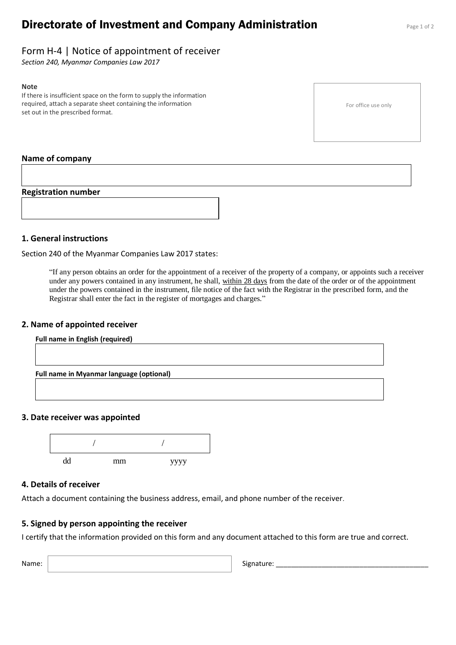# **Directorate of Investment and Company Administration** Page 1 of 2

## Form H-4 | Notice of appointment of receiver

*Section 240, Myanmar Companies Law 2017*

#### **Note**

If there is insufficient space on the form to supply the information required, attach a separate sheet containing the information set out in the prescribed format.

For office use only

#### **Name of company**

### **Registration number**



### **1. General instructions**

Section 240 of the Myanmar Companies Law 2017 states:

"If any person obtains an order for the appointment of a receiver of the property of a company, or appoints such a receiver under any powers contained in any instrument, he shall, within 28 days from the date of the order or of the appointment under the powers contained in the instrument, file notice of the fact with the Registrar in the prescribed form, and the Registrar shall enter the fact in the register of mortgages and charges."

#### **2. Name of appointed receiver**

| <b>Full name in English (required)</b> |                                          |  |  |  |  |
|----------------------------------------|------------------------------------------|--|--|--|--|
|                                        |                                          |  |  |  |  |
|                                        |                                          |  |  |  |  |
|                                        | Full name in Myanmar language (optional) |  |  |  |  |
|                                        |                                          |  |  |  |  |
|                                        |                                          |  |  |  |  |

#### **3. Date receiver was appointed**



### **4. Details of receiver**

Attach a document containing the business address, email, and phone number of the receiver.

### **5. Signed by person appointing the receiver**

I certify that the information provided on this form and any document attached to this form are true and correct.

Name: Name: Signature: 2002. Signature: 2004. Signature: 2004. Signature: 2004. Signature: 2004. Signature: 2004. Signature: 2004. Signature: 2004. Signature: 2004. Signature: 2004. Signature: 2004. Signature: 2004. Signat